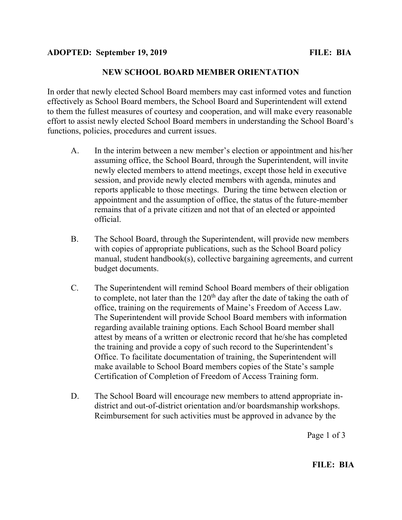## NEW SCHOOL BOARD MEMBER ORIENTATION

In order that newly elected School Board members may cast informed votes and function effectively as School Board members, the School Board and Superintendent will extend to them the fullest measures of courtesy and cooperation, and will make every reasonable effort to assist newly elected School Board members in understanding the School Board's functions, policies, procedures and current issues.

- A. In the interim between a new member's election or appointment and his/her assuming office, the School Board, through the Superintendent, will invite newly elected members to attend meetings, except those held in executive session, and provide newly elected members with agenda, minutes and reports applicable to those meetings. During the time between election or appointment and the assumption of office, the status of the future-member remains that of a private citizen and not that of an elected or appointed official.
- B. The School Board, through the Superintendent, will provide new members with copies of appropriate publications, such as the School Board policy manual, student handbook(s), collective bargaining agreements, and current budget documents.
- C. The Superintendent will remind School Board members of their obligation to complete, not later than the 120<sup>th</sup> day after the date of taking the oath of office, training on the requirements of Maine's Freedom of Access Law. The Superintendent will provide School Board members with information regarding available training options. Each School Board member shall attest by means of a written or electronic record that he/she has completed the training and provide a copy of such record to the Superintendent's Office. To facilitate documentation of training, the Superintendent will make available to School Board members copies of the State's sample Certification of Completion of Freedom of Access Training form.
- D. The School Board will encourage new members to attend appropriate indistrict and out-of-district orientation and/or boardsmanship workshops. Reimbursement for such activities must be approved in advance by the

Page 1 of 3

## FILE: BIA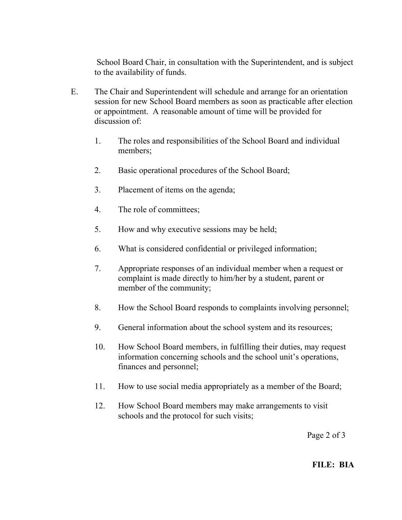School Board Chair, in consultation with the Superintendent, and is subject to the availability of funds.

- E. The Chair and Superintendent will schedule and arrange for an orientation session for new School Board members as soon as practicable after election or appointment. A reasonable amount of time will be provided for discussion of:
	- 1. The roles and responsibilities of the School Board and individual members;
	- 2. Basic operational procedures of the School Board;
	- 3. Placement of items on the agenda;
	- 4. The role of committees;
	- 5. How and why executive sessions may be held;
	- 6. What is considered confidential or privileged information;
	- 7. Appropriate responses of an individual member when a request or complaint is made directly to him/her by a student, parent or member of the community;
	- 8. How the School Board responds to complaints involving personnel;
	- 9. General information about the school system and its resources;
	- 10. How School Board members, in fulfilling their duties, may request information concerning schools and the school unit's operations, finances and personnel;
	- 11. How to use social media appropriately as a member of the Board;
	- 12. How School Board members may make arrangements to visit schools and the protocol for such visits;

Page 2 of 3

## FILE: BIA